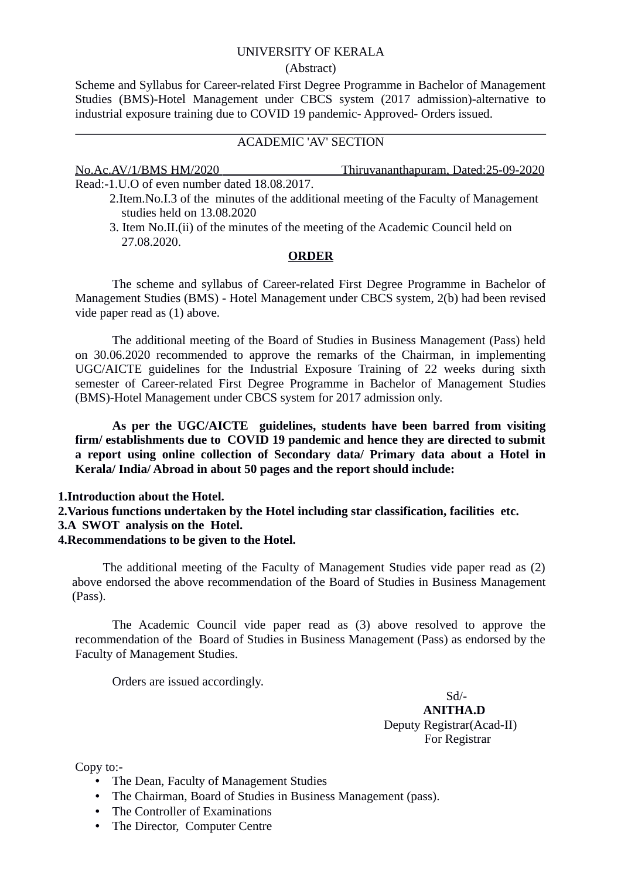### UNIVERSITY OF KERALA

### (Abstract)

Scheme and Syllabus for Career-related First Degree Programme in Bachelor of Management Studies (BMS)-Hotel Management under CBCS system (2017 admission)-alternative to industrial exposure training due to COVID 19 pandemic- Approved- Orders issued.

# ACADEMIC 'AV' SECTION

No.Ac.AV/1/BMS HM/2020 Thiruvananthapuram, Dated:25-09-2020

Read:-1.U.O of even number dated 18.08.2017.

- 2.Item.No.I.3 of the minutes of the additional meeting of the Faculty of Management studies held on 13.08.2020
- 3. Item No.II.(ii) of the minutes of the meeting of the Academic Council held on 27.08.2020.

## **ORDER**

The scheme and syllabus of Career-related First Degree Programme in Bachelor of Management Studies (BMS) - Hotel Management under CBCS system, 2(b) had been revised vide paper read as (1) above.

The additional meeting of the Board of Studies in Business Management (Pass) held on 30.06.2020 recommended to approve the remarks of the Chairman, in implementing UGC/AICTE guidelines for the Industrial Exposure Training of 22 weeks during sixth semester of Career-related First Degree Programme in Bachelor of Management Studies (BMS)-Hotel Management under CBCS system for 2017 admission only.

**As per the UGC/AICTE guidelines, students have been barred from visiting firm/ establishments due to COVID 19 pandemic and hence they are directed to submit a report using online collection of Secondary data/ Primary data about a Hotel in Kerala/ India/ Abroad in about 50 pages and the report should include:**

## **1.Introduction about the Hotel.**

**2.Various functions undertaken by the Hotel including star classification, facilities etc. 3.A SWOT analysis on the Hotel.**

# **4.Recommendations to be given to the Hotel.**

The additional meeting of the Faculty of Management Studies vide paper read as (2) above endorsed the above recommendation of the Board of Studies in Business Management (Pass).

The Academic Council vide paper read as (3) above resolved to approve the recommendation of the Board of Studies in Business Management (Pass) as endorsed by the Faculty of Management Studies.

Orders are issued accordingly.

 Sd/- **ANITHA.D** Deputy Registrar(Acad-II) For Registrar

Copy to:-

- The Dean, Faculty of Management Studies
- The Chairman, Board of Studies in Business Management (pass).
- The Controller of Examinations
- The Director, Computer Centre